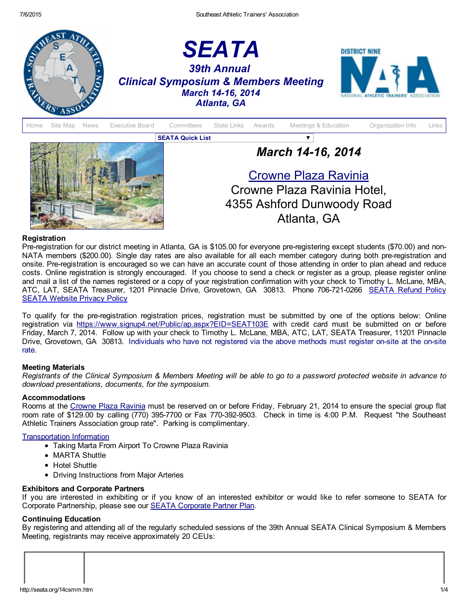



## Registration

Pre-registration for our district meeting in Atlanta, GA is \$105.00 for everyone pre-registering except students (\$70.00) and non-NATA members (\$200.00). Single day rates are also available for all each member category during both pre-registration and onsite. Preregistration is encouraged so we can have an accurate count of those attending in order to plan ahead and reduce costs. Online registration is strongly encouraged. If you choose to send a check or register as a group, please register online and mail a list of the names registered or a copy of your registration confirmation with your check to Timothy L. McLane, MBA, ATC, LAT, [SEATA](http://www.seata.org/refund.htm) Treasurer, 1201 Pinnacle Drive, Grovetown, GA 30813. Phone 706-721-0266 SEATA Refund Policy **SEATA [Website](http://seata.org/privacy.htm) Privacy Policy** 

To qualify for the preregistration registration prices, registration must be submitted by one of the options below: Online registration via <https://www.signup4.net/Public/ap.aspx?EID=SEAT103E> with credit card must be submitted on or before Friday, March 7, 2014. Follow up with your check to Timothy L. McLane, MBA, ATC, LAT, SEATA Treasurer, 11201 Pinnacle Drive, Grovetown, GA 30813. Individuals who have not registered via the above methods must register on-site at the on-site rate.

### Meeting Materials

Registrants of the Clinical Symposium & Members Meeting will be able to go to a password protected website in advance to *download presentations, documents, for the symposium.*

### Accommodations

Rooms at the [Crowne](http://www.ichotelsgroup.com/crowneplaza/hotels/us/en/atlanta/atlcp/hoteldetail) Plaza Ravinia must be reserved on or before Friday, February 21, 2014 to ensure the special group flat room rate of \$129.00 by calling (770) 395-7700 or Fax 770-392-9503. Check in time is 4:00 P.M. Request "the Southeast Athletic Trainers Association group rate". Parking is complimentary.

## [Transportation](http://www.seata.org/07atss/MARTAtoCrownePlazafromAirport.doc) Information

- Taking Marta From Airport To Crowne Plaza Ravinia
- MARTA Shuttle
- Hotel Shuttle
- Driving Instructions from Major Arteries

### Exhibitors and Corporate Partners

If you are interested in exhibiting or if you know of an interested exhibitor or would like to refer someone to SEATA for Corporate Partnership, please see our SEATA [Corporate](http://seata.org/cpp.htm) Partner Plan.

## Continuing Education

By registering and attending all of the regularly scheduled sessions of the 39th Annual SEATA Clinical Symposium & Members Meeting, registrants may receive approximately 20 CEUs: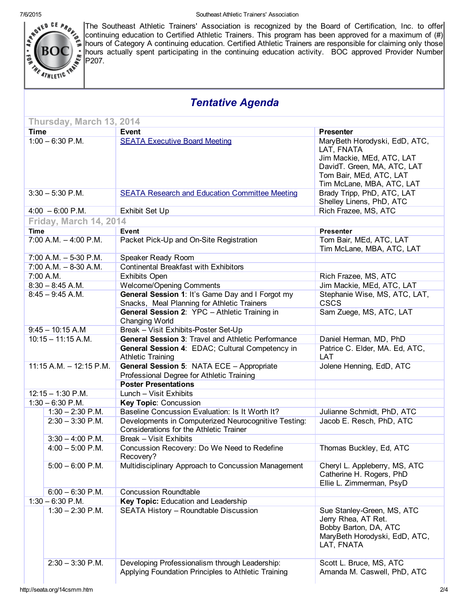

The Southeast Athletic Trainers' Association is recognized by the Board of Certification, Inc. to offer continuing education to Certified Athletic Trainers. This program has been approved for a maximum of (#) hours of Category A continuing education. Certified Athletic Trainers are responsible for claiming only those hours actually spent participating in the continuing education activity. BOC approved Provider Number  $P207$ .

# *Tentative Agenda*

|                            | Thursday, March 13, 2014 |                                                                                                        |                                                                                                                                                                 |  |
|----------------------------|--------------------------|--------------------------------------------------------------------------------------------------------|-----------------------------------------------------------------------------------------------------------------------------------------------------------------|--|
| <b>Time</b>                |                          | Event                                                                                                  | <b>Presenter</b>                                                                                                                                                |  |
| $1:00 - 6:30$ P.M.         |                          | <b>SEATA Executive Board Meeting</b>                                                                   | MaryBeth Horodyski, EdD, ATC,<br>LAT, FNATA<br>Jim Mackie, MEd, ATC, LAT<br>DavidT. Green, MA, ATC, LAT<br>Tom Bair, MEd, ATC, LAT<br>Tim McLane, MBA, ATC, LAT |  |
| $3:30 - 5:30$ P.M.         |                          | <b>SEATA Research and Education Committee Meeting</b>                                                  | Brady Tripp, PhD, ATC, LAT<br>Shelley Linens, PhD, ATC                                                                                                          |  |
|                            | $4:00 - 6:00$ P.M.       | Exhibit Set Up                                                                                         | Rich Frazee, MS, ATC                                                                                                                                            |  |
|                            | Friday, March 14, 2014   |                                                                                                        |                                                                                                                                                                 |  |
| <b>Time</b>                |                          | Event                                                                                                  | <b>Presenter</b>                                                                                                                                                |  |
| $7:00$ A.M. $-4:00$ P.M.   |                          | Packet Pick-Up and On-Site Registration                                                                | Tom Bair, MEd, ATC, LAT<br>Tim McLane, MBA, ATC, LAT                                                                                                            |  |
|                            | $7:00$ A.M. $-5-30$ P.M. | Speaker Ready Room                                                                                     |                                                                                                                                                                 |  |
| $7:00$ A.M. $-8-30$ A.M.   |                          | <b>Continental Breakfast with Exhibitors</b>                                                           |                                                                                                                                                                 |  |
|                            | 7:00 A.M.                | <b>Exhibits Open</b>                                                                                   | Rich Frazee, MS, ATC                                                                                                                                            |  |
| $8:30 - 8:45$ A.M.         |                          | <b>Welcome/Opening Comments</b>                                                                        | Jim Mackie, MEd, ATC, LAT                                                                                                                                       |  |
| $8:45 - 9:45$ A.M.         |                          | General Session 1: It's Game Day and I Forgot my<br>Snacks, Meal Planning for Athletic Trainers        | Stephanie Wise, MS, ATC, LAT,<br><b>CSCS</b>                                                                                                                    |  |
|                            |                          | General Session 2: YPC - Athletic Training in<br>Changing World                                        | Sam Zuege, MS, ATC, LAT                                                                                                                                         |  |
|                            | $9:45 - 10:15$ A.M       | Break - Visit Exhibits-Poster Set-Up                                                                   |                                                                                                                                                                 |  |
|                            | $10:15 - 11:15$ A.M.     | General Session 3: Travel and Athletic Performance                                                     | Daniel Herman, MD, PhD                                                                                                                                          |  |
|                            |                          | General Session 4: EDAC; Cultural Competency in<br><b>Athletic Training</b>                            | Patrice C. Elder, MA. Ed, ATC,<br>LAT                                                                                                                           |  |
| $11:15$ A.M. $-12:15$ P.M. |                          | General Session 5: NATA ECE - Appropriate<br>Professional Degree for Athletic Training                 | Jolene Henning, EdD, ATC                                                                                                                                        |  |
|                            |                          | <b>Poster Presentations</b>                                                                            |                                                                                                                                                                 |  |
| $12:15 - 1:30$ P.M.        |                          | Lunch - Visit Exhibits                                                                                 |                                                                                                                                                                 |  |
| $1:30 - 6:30$ P.M.         |                          | Key Topic: Concussion                                                                                  |                                                                                                                                                                 |  |
|                            | $1:30 - 2:30$ P.M.       | Baseline Concussion Evaluation: Is It Worth It?                                                        | Julianne Schmidt, PhD, ATC                                                                                                                                      |  |
|                            | $2:30 - 3:30$ P.M.       | Developments in Computerized Neurocognitive Testing:<br><b>Considerations for the Athletic Trainer</b> | Jacob E. Resch, PhD, ATC                                                                                                                                        |  |
|                            | $3:30 - 4:00$ P.M.       | Break - Visit Exhibits                                                                                 |                                                                                                                                                                 |  |
|                            | $4:00 - 5:00$ P.M.       | Concussion Recovery: Do We Need to Redefine<br>Recovery?                                               | Thomas Buckley, Ed, ATC                                                                                                                                         |  |
|                            | $5:00 - 6:00$ P.M.       | Multidisciplinary Approach to Concussion Management                                                    | Cheryl L. Appleberry, MS, ATC<br>Catherine H. Rogers, PhD<br>Ellie L. Zimmerman, PsyD                                                                           |  |
|                            | $6:00 - 6:30$ P.M.       | <b>Concussion Roundtable</b>                                                                           |                                                                                                                                                                 |  |
|                            | $1:30 - 6:30$ P.M.       | Key Topic: Education and Leadership                                                                    |                                                                                                                                                                 |  |
|                            | $1:30 - 2:30$ P.M.       | SEATA History - Roundtable Discussion                                                                  | Sue Stanley-Green, MS, ATC<br>Jerry Rhea, AT Ret.<br>Bobby Barton, DA, ATC<br>MaryBeth Horodyski, EdD, ATC,<br>LAT, FNATA                                       |  |
|                            | $2:30 - 3:30$ P.M.       | Developing Professionalism through Leadership:<br>Applying Foundation Principles to Athletic Training  | Scott L. Bruce, MS, ATC<br>Amanda M. Caswell, PhD, ATC                                                                                                          |  |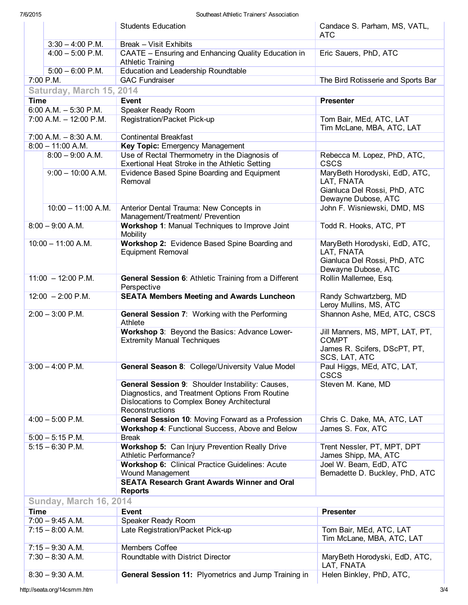|                               |                           | <b>Students Education</b>                                                                                                                                                                   | Candace S. Parham, MS, VATL,<br><b>ATC</b>                                                         |  |  |  |  |
|-------------------------------|---------------------------|---------------------------------------------------------------------------------------------------------------------------------------------------------------------------------------------|----------------------------------------------------------------------------------------------------|--|--|--|--|
|                               | $3:30 - 4:00$ P.M.        | Break - Visit Exhibits                                                                                                                                                                      |                                                                                                    |  |  |  |  |
|                               | $4:00 - 5:00$ P.M.        | CAATE - Ensuring and Enhancing Quality Education in<br><b>Athletic Training</b>                                                                                                             | Eric Sauers, PhD, ATC                                                                              |  |  |  |  |
| $5:00 - 6:00$ P.M.            |                           | Education and Leadership Roundtable                                                                                                                                                         |                                                                                                    |  |  |  |  |
|                               | 7:00 P.M.                 | <b>GAC Fundraiser</b>                                                                                                                                                                       | The Bird Rotisserie and Sports Bar                                                                 |  |  |  |  |
|                               | Saturday, March 15, 2014  |                                                                                                                                                                                             |                                                                                                    |  |  |  |  |
| <b>Time</b>                   |                           | <b>Event</b>                                                                                                                                                                                | <b>Presenter</b>                                                                                   |  |  |  |  |
|                               | $6:00$ A.M. $-5:30$ P.M.  | Speaker Ready Room                                                                                                                                                                          |                                                                                                    |  |  |  |  |
|                               | $7:00$ A.M. $-12:00$ P.M. | Registration/Packet Pick-up                                                                                                                                                                 | Tom Bair, MEd, ATC, LAT                                                                            |  |  |  |  |
|                               |                           |                                                                                                                                                                                             | Tim McLane, MBA, ATC, LAT                                                                          |  |  |  |  |
|                               | $7:00$ A.M. $-8:30$ A.M.  | <b>Continental Breakfast</b>                                                                                                                                                                |                                                                                                    |  |  |  |  |
|                               | $8:00 - 11:00 A.M.$       | Key Topic: Emergency Management                                                                                                                                                             |                                                                                                    |  |  |  |  |
|                               | $8:00 - 9:00$ A.M.        | Use of Rectal Thermometry in the Diagnosis of<br>Exertional Heat Stroke in the Athletic Setting                                                                                             | Rebecca M. Lopez, PhD, ATC,<br><b>CSCS</b>                                                         |  |  |  |  |
|                               | $9:00 - 10:00$ A.M.       | Evidence Based Spine Boarding and Equipment<br>Removal                                                                                                                                      | MaryBeth Horodyski, EdD, ATC,<br>LAT, FNATA<br>Gianluca Del Rossi, PhD, ATC<br>Dewayne Dubose, ATC |  |  |  |  |
|                               | $10:00 - 11:00 A.M.$      | Anterior Dental Trauma: New Concepts in<br>Management/Treatment/ Prevention                                                                                                                 | John F. Wisniewski, DMD, MS                                                                        |  |  |  |  |
|                               | $8:00 - 9:00 A.M.$        | Workshop 1: Manual Techniques to Improve Joint<br>Mobility                                                                                                                                  | Todd R. Hooks, ATC, PT                                                                             |  |  |  |  |
| $10:00 - 11:00 A.M.$          |                           | Workshop 2: Evidence Based Spine Boarding and<br><b>Equipment Removal</b>                                                                                                                   | MaryBeth Horodyski, EdD, ATC,<br>LAT, FNATA<br>Gianluca Del Rossi, PhD, ATC                        |  |  |  |  |
| $11:00 - 12:00$ P.M.          |                           | General Session 6: Athletic Training from a Different<br>Perspective                                                                                                                        | Dewayne Dubose, ATC<br>Rollin Mallernee, Esq.                                                      |  |  |  |  |
| $12:00 - 2:00$ P.M.           |                           | <b>SEATA Members Meeting and Awards Luncheon</b>                                                                                                                                            | Randy Schwartzberg, MD<br>Leroy Mullins, MS, ATC                                                   |  |  |  |  |
| $2:00 - 3:00$ P.M.            |                           | General Session 7: Working with the Performing<br>Athlete                                                                                                                                   | Shannon Ashe, MEd, ATC, CSCS                                                                       |  |  |  |  |
|                               |                           | Workshop 3: Beyond the Basics: Advance Lower-<br><b>Extremity Manual Techniques</b>                                                                                                         | Jill Manners, MS, MPT, LAT, PT,<br><b>COMPT</b><br>James R. Scifers, DScPT, PT,<br>SCS, LAT, ATC   |  |  |  |  |
| $3:00 - 4:00$ P.M.            |                           | <b>General Season 8: College/University Value Model</b>                                                                                                                                     | Paul Higgs, MEd, ATC, LAT,<br><b>CSCS</b>                                                          |  |  |  |  |
|                               |                           | General Session 9: Shoulder Instability: Causes,<br>Steven M. Kane, MD<br>Diagnostics, and Treatment Options From Routine<br>Dislocations to Complex Boney Architectural<br>Reconstructions |                                                                                                    |  |  |  |  |
|                               | $4:00 - 5:00$ P.M.        | General Session 10: Moving Forward as a Profession                                                                                                                                          | Chris C. Dake, MA, ATC, LAT                                                                        |  |  |  |  |
|                               |                           | Workshop 4: Functional Success, Above and Below                                                                                                                                             | James S. Fox, ATC                                                                                  |  |  |  |  |
|                               | $5:00 - 5:15$ P.M.        | <b>Break</b>                                                                                                                                                                                |                                                                                                    |  |  |  |  |
| $5:15 - 6:30$ P.M.            |                           | Workshop 5: Can Injury Prevention Really Drive<br><b>Athletic Performance?</b>                                                                                                              | Trent Nessler, PT, MPT, DPT<br>James Shipp, MA, ATC                                                |  |  |  |  |
|                               |                           | Workshop 6: Clinical Practice Guidelines: Acute<br>Wound Management<br><b>SEATA Research Grant Awards Winner and Oral</b>                                                                   | Joel W. Beam, EdD, ATC<br>Bernadette D. Buckley, PhD, ATC                                          |  |  |  |  |
|                               |                           | <b>Reports</b>                                                                                                                                                                              |                                                                                                    |  |  |  |  |
| <b>Sunday, March 16, 2014</b> |                           |                                                                                                                                                                                             |                                                                                                    |  |  |  |  |
|                               |                           |                                                                                                                                                                                             |                                                                                                    |  |  |  |  |
| Time                          |                           | Event                                                                                                                                                                                       | <b>Presenter</b>                                                                                   |  |  |  |  |
|                               | $7:00 - 9:45$ A.M.        | Speaker Ready Room                                                                                                                                                                          |                                                                                                    |  |  |  |  |
| $7:15 - 8:00$ A.M.            |                           | Late Registration/Packet Pick-up                                                                                                                                                            | Tom Bair, MEd, ATC, LAT<br>Tim McLane, MBA, ATC, LAT                                               |  |  |  |  |
| $7:15 - 9:30$ A.M.            |                           | Members Coffee                                                                                                                                                                              |                                                                                                    |  |  |  |  |
| $7:30 - 8:30$ A.M.            |                           | Roundtable with District Director                                                                                                                                                           | MaryBeth Horodyski, EdD, ATC,<br>LAT, FNATA                                                        |  |  |  |  |
|                               | $8:30 - 9:30$ A.M.        | General Session 11: Plyometrics and Jump Training in                                                                                                                                        | Helen Binkley, PhD, ATC,                                                                           |  |  |  |  |